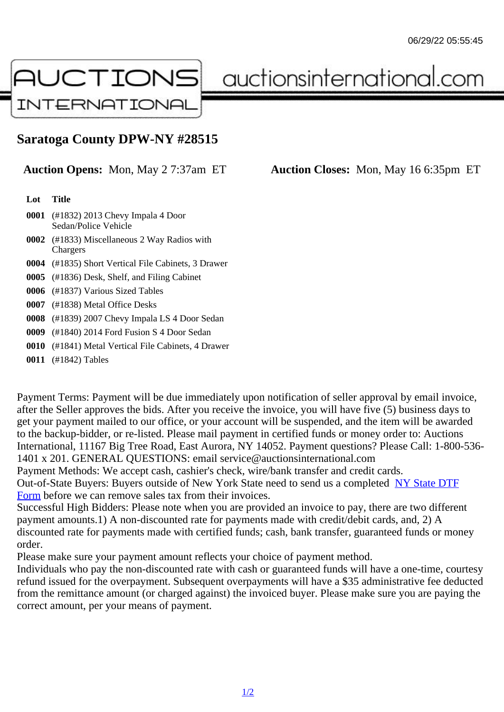## Saratoga County DPW-NY #28515

Auction Opens: Mon, May 2 7:37am ET Auction Closes: Mon, May 16 6:35pm ET

Lot Title

0001 (#1832) 2013 Chevy Impala 4 Door Sedan/Police Vehicle

- 0002 (#1833) Miscellaneous 2 Way Radios with **Chargers**
- 0004 (#1835) Short Vertical File Cabinets, 3 Drawer
- 0005 (#1836) Desk, Shelf, and Filing Cabinet
- 0006 (#1837) Various Sized Tables
- 0007 (#1838) Metal Office Desks
- 0008 (#1839) 2007 Chevy Impala LS 4 Door Sedan
- 0009 (#1840) 2014 Ford Fusion S 4 Door Sedan
- 0010 (#1841) Metal Vertical File Cabinets, 4 Drawer

0011 (#1842) Tables

Payment Terms: Payment will be due immediately upon notification of seller approval by email invoice, after the Seller approves the bids. After you receive the invoice, you will have five (5) business days to get your payment mailed to our office, or your account will be suspended, and the item will be awarded to the backup-bidder, or re-listed. Please mail payment in certified funds or money order to: Auctions International, 11167 Big Tree Road, East Aurora, NY 14052. Payment questions? Please Call: 1-800-53 1401 x 201. GENERAL QUESTIONS: email service@auctionsinternational.com

Payment Methods: We accept cash, cashier's check, wire/bank transfer and credit cards. Out-of-State Buyers: Buyers outside of New York State need to send us a com blestate DTF

Form before we can remove sales tax from their invoices.

Successful High Bidders: Please note when you are provided an invoice to pay, there are two different payment amounts.1) A non-discounted rate for payments made with credit/de[bit cards, and](https://www.auctionsinternational.com/auxiliary/downloads/DTF_Form/dtf_fill_in.pdf), 2) A [disco](https://www.auctionsinternational.com/auxiliary/downloads/DTF_Form/dtf_fill_in.pdf)unted rate for payments made with certified funds; cash, bank transfer, guaranteed funds or mone order.

Please make sure your payment amount reflects your choice of payment method.

Individuals who pay the non-discounted rate with cash or guaranteed funds will have a one-time, courte refund issued for the overpayment. Subsequent overpayments will have a \$35 administrative fee deduc from the remittance amount (or charged against) the invoiced buyer. Please make sure you are paying correct amount, per your means of payment.